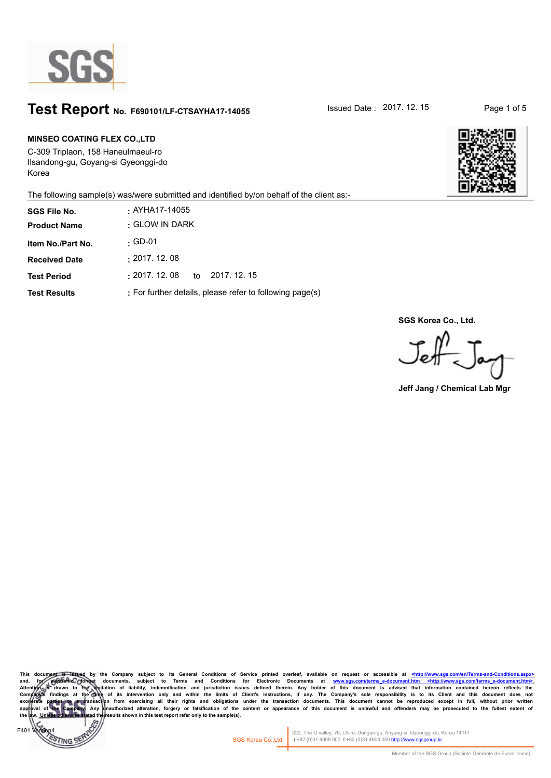

### **Test Report** No. F690101/LF-CTSAYHA17-14055 Sued Date : 2017. 12. 15 Page 1 of 5

#### **MINSEO COATING FLEX CO.,LTD**

 $FAD<sup>2</sup>$ 

**TING** 

C-309 Triplaon, 158 Haneulmaeul-ro Ilsandong-gu, Goyang-si Gyeonggi-do Korea



The following sample(s) was/were submitted and identified by/on behalf of the client as:-

| <b>SGS File No.</b>  | . AYHA17-14055                                           |
|----------------------|----------------------------------------------------------|
| <b>Product Name</b>  | . GLOW IN DARK                                           |
| Item No./Part No.    | . GD-01                                                  |
| <b>Received Date</b> | : 2017.12.08                                             |
| <b>Test Period</b>   | $\pm 2017$ . 12. 08<br>to 2017, 12, 15                   |
| <b>Test Results</b>  | : For further details, please refer to following page(s) |

**SGS Korea Co., Ltd.**

**Jeff Jang / Chemical Lab Mgr**

This document is issued by the Company subject to its General Conditions of Service printed overleaf, available on request or accessible at <u><http://www.sgs.co</u> and, for electronic formet documents, subject to Terms and Conditions for Electronic Documents at <u>www.sgs.com/terms e-document.htm <http://www.sgs.com/terms e-document.htm = http://www.sgs.com/terms e-document.htm<br>Attenti</u> Company)s findings at the Ome of its intervention only and within the limits of Client's instructions, if any. The Company's sole responsibility is to its Client and this document does not responsibility is to its Client sults shown in this test report refer only to the sample(s).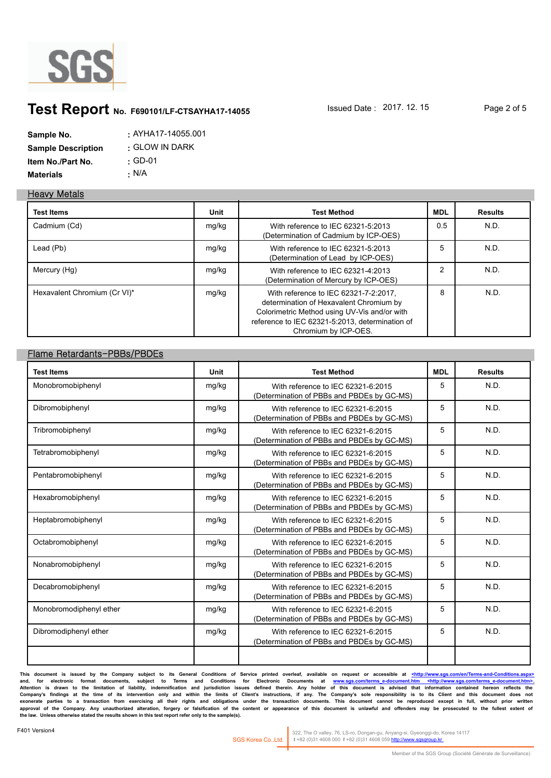

# **Test Report** No. F690101/LF-CTSAYHA17-14055 **ISSued Date : 2017. 12. 15** Page 2 of 5

| Sample No.                | : AYHA17-14055.001 |
|---------------------------|--------------------|
| <b>Sample Description</b> | . GLOW IN DARK     |
| Item No./Part No.         | $\cdot$ GD-01      |
| <b>Materials</b>          | • N/A              |

#### **Heavy Metals**

| <b>Test Items</b>            | Unit  | <b>Test Method</b>                                                                                                                                                                                          | <b>MDL</b>     | <b>Results</b> |
|------------------------------|-------|-------------------------------------------------------------------------------------------------------------------------------------------------------------------------------------------------------------|----------------|----------------|
| Cadmium (Cd)                 | mg/kg | With reference to IEC 62321-5:2013<br>(Determination of Cadmium by ICP-OES)                                                                                                                                 | 0.5            | N.D.           |
| Lead (Pb)                    | mg/kg | With reference to IEC 62321-5:2013<br>(Determination of Lead by ICP-OES)                                                                                                                                    | 5              | N.D.           |
| Mercury (Hg)                 | mg/kg | With reference to IEC 62321-4:2013<br>(Determination of Mercury by ICP-OES)                                                                                                                                 | $\overline{c}$ | N.D.           |
| Hexavalent Chromium (Cr VI)* | mg/kg | With reference to IEC 62321-7-2:2017,<br>determination of Hexavalent Chromium by<br>Colorimetric Method using UV-Vis and/or with<br>reference to IEC 62321-5:2013, determination of<br>Chromium by ICP-OES. | 8              | N.D.           |

#### **Flame Retardants-PBBs/PBDEs**

| <b>Test Items</b>       | Unit  | <b>Test Method</b>                                                               | <b>MDL</b> | <b>Results</b> |
|-------------------------|-------|----------------------------------------------------------------------------------|------------|----------------|
| Monobromobiphenyl       | mg/kg | With reference to IEC 62321-6:2015<br>(Determination of PBBs and PBDEs by GC-MS) | 5          | N.D.           |
| Dibromobiphenyl         | mg/kg | With reference to IEC 62321-6:2015<br>(Determination of PBBs and PBDEs by GC-MS) | 5          | N.D.           |
| Tribromobiphenyl        | mg/kg | With reference to IEC 62321-6:2015<br>(Determination of PBBs and PBDEs by GC-MS) | 5          | N.D.           |
| Tetrabromobiphenyl      | mg/kg | With reference to IEC 62321-6:2015<br>(Determination of PBBs and PBDEs by GC-MS) | 5          | N.D.           |
| Pentabromobiphenyl      | mg/kg | With reference to IEC 62321-6:2015<br>(Determination of PBBs and PBDEs by GC-MS) | 5          | N.D.           |
| Hexabromobiphenyl       | mg/kg | With reference to IEC 62321-6:2015<br>(Determination of PBBs and PBDEs by GC-MS) | 5          | N.D.           |
| Heptabromobiphenyl      | mg/kg | With reference to IEC 62321-6:2015<br>(Determination of PBBs and PBDEs by GC-MS) | 5          | N.D.           |
| Octabromobiphenyl       | mg/kg | With reference to IEC 62321-6:2015<br>(Determination of PBBs and PBDEs by GC-MS) | 5          | N.D.           |
| Nonabromobiphenyl       | mg/kg | With reference to IEC 62321-6:2015<br>(Determination of PBBs and PBDEs by GC-MS) | 5          | N.D.           |
| Decabromobiphenyl       | mg/kg | With reference to IEC 62321-6:2015<br>(Determination of PBBs and PBDEs by GC-MS) | 5          | N.D.           |
| Monobromodiphenyl ether | mg/kg | With reference to IEC 62321-6:2015<br>(Determination of PBBs and PBDEs by GC-MS) | 5          | N.D.           |
| Dibromodiphenyl ether   | mg/kg | With reference to IEC 62321-6:2015<br>(Determination of PBBs and PBDEs by GC-MS) | 5          | N.D.           |

**This document is issued by the Company subject to its General Conditions of Service printed overleaf, available on request or accessible at <http://www.sgs.com/en/Terms-and-Conditions.aspx>** and, for electronic format documents, subject to Terms and Conditions for Electronic Documents at <u>www.sgs.com/terms-e-document.htm <http://www.sgs.com/terms-e-document.htm>.</u><br>Attention is drawn to the limitation of liabil Company's findings at the time of its intervention only and within the limits of Client's instructions, if any. The Company's sole responsibility is to its Client and this document does not<br>exonerate parties to a transacti **the law. Unless otherwise stated the results shown in this test report refer only to the sample(s).**

322, The O valley, 76, LS-ro, Dongan-gu, Anyang-si, Gyeonggi-do, Korea 14117 SGS Korea Co.,Ltd. **t** +82 (0)31 4608 000 **f** +82 (0)31 4608 059 http://www.sgsgroup.kr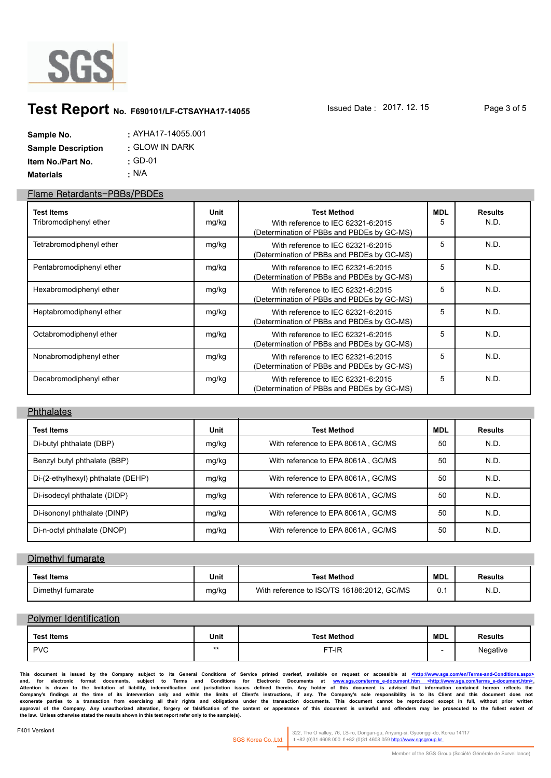

### **Test Report** No. F690101/LF-CTSAYHA17-14055 **Issued Date : 2017. 12. 15** Page 3 of 5

| Sample No.                | : AYHA17-14055.001 |
|---------------------------|--------------------|
| <b>Sample Description</b> | . GLOW IN DARK     |
| <b>Item No./Part No.</b>  | $\cdot$ GD-01      |
| <b>Materials</b>          | : N/A              |

#### **Flame Retardants-PBBs/PBDEs**

| <b>Test Items</b><br>Tribromodiphenyl ether | Unit<br>mg/kg | Test Method<br>With reference to IEC 62321-6:2015<br>(Determination of PBBs and PBDEs by GC-MS) | MDL<br>5 | <b>Results</b><br>N.D. |
|---------------------------------------------|---------------|-------------------------------------------------------------------------------------------------|----------|------------------------|
| Tetrabromodiphenyl ether                    | mg/kg         | With reference to IEC 62321-6:2015<br>(Determination of PBBs and PBDEs by GC-MS)                | 5        | N.D.                   |
| Pentabromodiphenyl ether                    | mg/kg         | With reference to IEC 62321-6:2015<br>(Determination of PBBs and PBDEs by GC-MS)                | 5        | N.D.                   |
| Hexabromodiphenyl ether                     | mg/kg         | With reference to IEC 62321-6:2015<br>(Determination of PBBs and PBDEs by GC-MS)                | 5        | N.D.                   |
| Heptabromodiphenyl ether                    | mg/kg         | With reference to IEC 62321-6:2015<br>(Determination of PBBs and PBDEs by GC-MS)                | 5        | N.D.                   |
| Octabromodiphenyl ether                     | mg/kg         | With reference to IEC 62321-6:2015<br>(Determination of PBBs and PBDEs by GC-MS)                | 5        | N.D.                   |
| Nonabromodiphenyl ether                     | mg/kg         | With reference to IEC 62321-6:2015<br>(Determination of PBBs and PBDEs by GC-MS)                | 5        | N.D.                   |
| Decabromodiphenyl ether                     | mg/kg         | With reference to IEC 62321-6:2015<br>(Determination of PBBs and PBDEs by GC-MS)                | 5        | N.D.                   |

#### **Phthalates**

| <b>Test Items</b>                  | Unit  | <b>Test Method</b>                 | MDL | <b>Results</b> |
|------------------------------------|-------|------------------------------------|-----|----------------|
| Di-butyl phthalate (DBP)           | mg/kg | With reference to EPA 8061A, GC/MS | 50  | N.D.           |
| Benzyl butyl phthalate (BBP)       | mg/kg | With reference to EPA 8061A, GC/MS | 50  | N.D.           |
| Di-(2-ethylhexyl) phthalate (DEHP) | mg/kg | With reference to EPA 8061A, GC/MS | 50  | N.D.           |
| Di-isodecyl phthalate (DIDP)       | mg/kg | With reference to EPA 8061A, GC/MS | 50  | N.D.           |
| Di-isononyl phthalate (DINP)       | mg/kg | With reference to EPA 8061A, GC/MS | 50  | N.D.           |
| Di-n-octyl phthalate (DNOP)        | mg/kg | With reference to EPA 8061A, GC/MS | 50  | N.D.           |

#### **Dimethyl fumarate**

| Test Items        | Unit  | <b>Test Method</b>                         | <b>MDL</b> | <b>Results</b> |
|-------------------|-------|--------------------------------------------|------------|----------------|
| Dimethyl fumarate | mg/kg | With reference to ISO/TS 16186:2012, GC/MS | ∪. ı       | N.D.           |

#### **Polymer Identification**

| <b>Test Items</b> | Unit | <b>Test Method</b> | <b>MDL</b> | <b>Results</b> |
|-------------------|------|--------------------|------------|----------------|
| <b>PVC</b>        | **   | FT-IR              |            | Negative       |

**This document is issued by the Company subject to its General Conditions of Service printed overleaf, available on request or accessible at <http://www.sgs.com/en/Terms-and-Conditions.aspx>** and, for electronic format documents, subject to Terms and Conditions for Electronic Documents at <u>www.sgs.com/terms-e-document.htm <http://www.sgs.com/terms-e-document.htm>.</u><br>Attention is drawn to the limitation of liabil Company's findings at the time of its intervention only and within the limits of Client's instructions, if any. The Company's sole responsibility is to its Client and this document does not<br>exonerate parties to a transacti **the law. Unless otherwise stated the results shown in this test report refer only to the sample(s).**

322, The O valley, 76, LS-ro, Dongan-gu, Anyang-si, Gyeonggi-do, Korea 14117 SGS Korea Co.,Ltd. **t** +82 (0)31 4608 000 **f** +82 (0)31 4608 059 http://www.sgsgroup.kr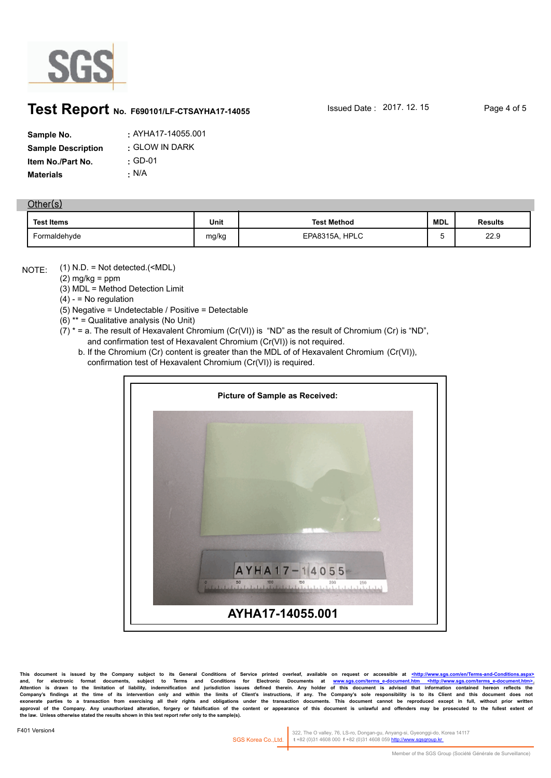

### **Test Report** No. F690101/LF-CTSAYHA17-14055 **Issued Date : 2017. 12. 15** Page 4 of 5

| Sample No.                | : AYHA17-14055.001 |
|---------------------------|--------------------|
| <b>Sample Description</b> | : GLOW IN DARK     |
| Item No./Part No.         | $\cdot$ GD-01      |
| Materials                 | $\cdot$ N/A        |

#### **Other(s)**

| <b>Test Items</b> | Unit  | <b>Test Method</b>      | <b>MDL</b> | <b>Results</b> |
|-------------------|-------|-------------------------|------------|----------------|
| Formaldehyde      | mg/kg | <b>HPLC</b><br>EPA8315A | . .<br>ີ   | 22.9           |

(1) N.D. = Not detected.(<MDL) NOTE:

 $(2)$  mg/kg = ppm

(3) MDL = Method Detection Limit

 $(4) -$  = No regulation

(5) Negative = Undetectable / Positive = Detectable

(6) \*\* = Qualitative analysis (No Unit)

- $(7)$  \* = a. The result of Hexavalent Chromium (Cr(VI)) is "ND" as the result of Chromium (Cr) is "ND", and confirmation test of Hexavalent Chromium (Cr(VI)) is not required.
	- b. If the Chromium (Cr) content is greater than the MDL of of Hexavalent Chromium (Cr(VI)), confirmation test of Hexavalent Chromium (Cr(VI)) is required.



This document is issued by the Company subject to its General Conditions of Service printed overleaf, available on request or accessible at <u><http://www.sgs.com/terms-and-Co</u><br>and, for electronic format documents, subject t and, for electronic format documents, subject to Terms and Conditions for Electronic Documents at <u>www.sgs.com/terms-e-document.htm <http://www.sgs.com/terms-e-document.htm>.</u><br>Attention is drawn to the limitation of liabil Company's findings at the time of its intervention only and within the limits of Client's instructions, if any. The Company's sole responsibility is to its Client and this document does not<br>exonerate parties to a transacti **the law. Unless otherwise stated the results shown in this test report refer only to the sample(s).**

322, The O valley, 76, LS-ro, Dongan-gu, Anyang-si, Gyeonggi-do, Korea 14117 SGS Korea Co.,Ltd. **t** +82 (0)31 4608 000 **f** +82 (0)31 4608 059 http://www.sgsgroup.kr